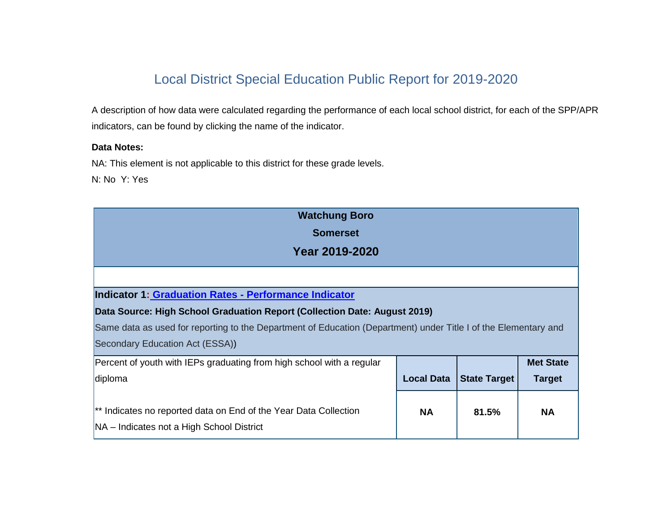# Local District Special Education Public Report for 2019-2020

A description of how data were calculated regarding the performance of each local school district, for each of the SPP/APR indicators, can be found by clicking the name of the indicator.

### **Data Notes:**

NA: This element is not applicable to this district for these grade levels.

N: No Y: Yes

| <b>Watchung Boro</b>                                                                                            |                   |                     |                  |
|-----------------------------------------------------------------------------------------------------------------|-------------------|---------------------|------------------|
| <b>Somerset</b>                                                                                                 |                   |                     |                  |
| Year 2019-2020                                                                                                  |                   |                     |                  |
|                                                                                                                 |                   |                     |                  |
| Indicator 1: Graduation Rates - Performance Indicator                                                           |                   |                     |                  |
| Data Source: High School Graduation Report (Collection Date: August 2019)                                       |                   |                     |                  |
| Same data as used for reporting to the Department of Education (Department) under Title I of the Elementary and |                   |                     |                  |
| Secondary Education Act (ESSA))                                                                                 |                   |                     |                  |
| Percent of youth with IEPs graduating from high school with a regular                                           |                   |                     | <b>Met State</b> |
| diploma                                                                                                         | <b>Local Data</b> | <b>State Target</b> | <b>Target</b>    |
|                                                                                                                 |                   |                     |                  |
| <sup>**</sup> Indicates no reported data on End of the Year Data Collection                                     | <b>NA</b>         | 81.5%               | <b>NA</b>        |
| NA - Indicates not a High School District                                                                       |                   |                     |                  |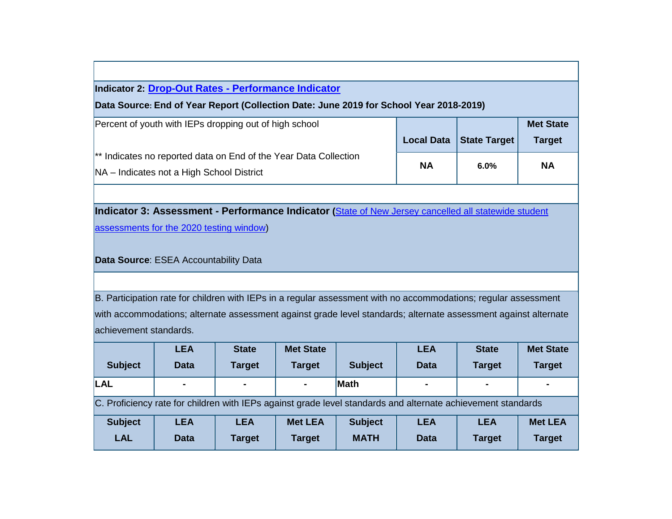# **Indicator 2: Drop-Out Rates - [Performance Indicator](http://www.state.nj.us/education/specialed/info/spp/data/sppi1920/indicator2.htm)**

#### **Data Source: End of Year Report (Collection Date: June 2019 for School Year 2018-2019)**

| Percent of youth with IEPs dropping out of high school                                                                   |           | Local Data   State Target | <b>Met State</b><br><b>Target</b> |
|--------------------------------------------------------------------------------------------------------------------------|-----------|---------------------------|-----------------------------------|
| <sup>**</sup> Indicates no reported data on End of the Year Data Collection<br>NA – Indicates not a High School District | <b>NA</b> | 6.0%                      | <b>NA</b>                         |

# **Indicator 3: Assessment - Performance Indicator (**[State of New Jersey cancelled all statewide student](https://www.nj.gov/education/broadcasts/2020/mar/24/New%20Jersey%20Cancels%20Statewide%20Student%20Assessments.pdf)

[assessments for the 2020 testing window\)](https://www.nj.gov/education/broadcasts/2020/mar/24/New%20Jersey%20Cancels%20Statewide%20Student%20Assessments.pdf)

#### **Data Source**: ESEA Accountability Data

B. Participation rate for children with IEPs in a regular assessment with no accommodations; regular assessment with accommodations; alternate assessment against grade level standards; alternate assessment against alternate achievement standards.

|                                                                                                              | <b>LEA</b>     | <b>State</b>   | <b>Met State</b> |                | <b>LEA</b>     | <b>State</b>  | <b>Met State</b> |
|--------------------------------------------------------------------------------------------------------------|----------------|----------------|------------------|----------------|----------------|---------------|------------------|
| <b>Subject</b>                                                                                               | <b>Data</b>    | <b>Target</b>  | <b>Target</b>    | <b>Subject</b> | <b>Data</b>    | <b>Target</b> | <b>Target</b>    |
| <b>LAL</b>                                                                                                   | $\blacksquare$ | $\blacksquare$ | $\sim$           | <b>Math</b>    | $\blacksquare$ | $\sim$        | $\blacksquare$   |
| C. Proficiency rate for children with IEPs against grade level standards and alternate achievement standards |                |                |                  |                |                |               |                  |
| <b>Subject</b>                                                                                               | <b>LEA</b>     | <b>LEA</b>     | <b>Met LEA</b>   | <b>Subject</b> | <b>LEA</b>     | <b>LEA</b>    | <b>Met LEA</b>   |
| <b>LAL</b>                                                                                                   | <b>Data</b>    | <b>Target</b>  | <b>Target</b>    | <b>MATH</b>    | <b>Data</b>    | <b>Target</b> | <b>Target</b>    |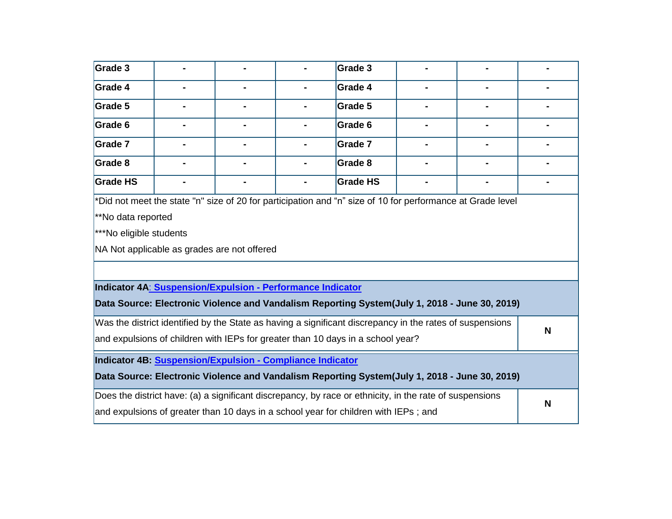| Grade 3                                                                                                                                                                                        |                                                                                                           |  |  | Grade 3                                                                                                    |   |  |
|------------------------------------------------------------------------------------------------------------------------------------------------------------------------------------------------|-----------------------------------------------------------------------------------------------------------|--|--|------------------------------------------------------------------------------------------------------------|---|--|
| <b>Grade 4</b>                                                                                                                                                                                 |                                                                                                           |  |  | Grade 4                                                                                                    |   |  |
| Grade 5                                                                                                                                                                                        |                                                                                                           |  |  | Grade 5                                                                                                    |   |  |
| Grade 6                                                                                                                                                                                        |                                                                                                           |  |  | Grade 6                                                                                                    |   |  |
| Grade 7                                                                                                                                                                                        |                                                                                                           |  |  | Grade 7                                                                                                    |   |  |
| Grade 8                                                                                                                                                                                        |                                                                                                           |  |  | Grade 8                                                                                                    |   |  |
| <b>Grade HS</b>                                                                                                                                                                                |                                                                                                           |  |  | <b>Grade HS</b>                                                                                            |   |  |
| **No data reported<br>***No eligible students                                                                                                                                                  | NA Not applicable as grades are not offered<br>Indicator 4A: Suspension/Expulsion - Performance Indicator |  |  | *Did not meet the state "n" size of 20 for participation and "n" size of 10 for performance at Grade level |   |  |
|                                                                                                                                                                                                |                                                                                                           |  |  | Data Source: Electronic Violence and Vandalism Reporting System(July 1, 2018 - June 30, 2019)              |   |  |
| Was the district identified by the State as having a significant discrepancy in the rates of suspensions<br>and expulsions of children with IEPs for greater than 10 days in a school year?    |                                                                                                           |  |  |                                                                                                            | N |  |
|                                                                                                                                                                                                | Indicator 4B: Suspension/Expulsion - Compliance Indicator                                                 |  |  |                                                                                                            |   |  |
|                                                                                                                                                                                                |                                                                                                           |  |  | Data Source: Electronic Violence and Vandalism Reporting System(July 1, 2018 - June 30, 2019)              |   |  |
| Does the district have: (a) a significant discrepancy, by race or ethnicity, in the rate of suspensions<br>and expulsions of greater than 10 days in a school year for children with IEPs; and |                                                                                                           |  |  |                                                                                                            | N |  |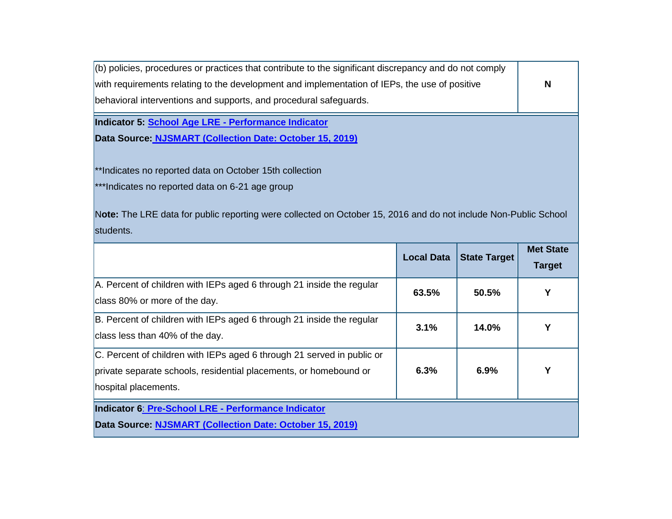(b) policies, procedures or practices that contribute to the significant discrepancy and do not comply with requirements relating to the development and implementation of IEPs, the use of positive behavioral interventions and supports, and procedural safeguards.

**N**

**Indicator 5: School Age LRE - [Performance Indicator](http://www.state.nj.us/education/specialed/info/spp/data/sppi1920/indicator5.htm)** 

**Data Source: NJSMART [\(Collection Date: October 15, 2019\)](http://www.state.nj.us/education/specialed/data/2016.htm)**

\*\*Indicates no reported data on October 15th collection

\*\*\*Indicates no reported data on 6-21 age group

N**ote:** The LRE data for public reporting were collected on October 15, 2016 and do not include Non-Public School students.

|                                                                                                                                                                     | <b>Local Data</b> | <b>State Target</b> | <b>Met State</b><br><b>Target</b> |
|---------------------------------------------------------------------------------------------------------------------------------------------------------------------|-------------------|---------------------|-----------------------------------|
| A. Percent of children with IEPs aged 6 through 21 inside the regular<br>class 80% or more of the day.                                                              | 63.5%             | 50.5%               | Y                                 |
| B. Percent of children with IEPs aged 6 through 21 inside the regular<br>class less than 40% of the day.                                                            | 3.1%              | 14.0%               |                                   |
| C. Percent of children with IEPs aged 6 through 21 served in public or<br>private separate schools, residential placements, or homebound or<br>hospital placements. | 6.3%              | 6.9%                | Υ                                 |
| Indicator 6: Pre-School LRE - Performance Indicator                                                                                                                 |                   |                     |                                   |
| Data Source: NJSMART (Collection Date: October 15, 2019)                                                                                                            |                   |                     |                                   |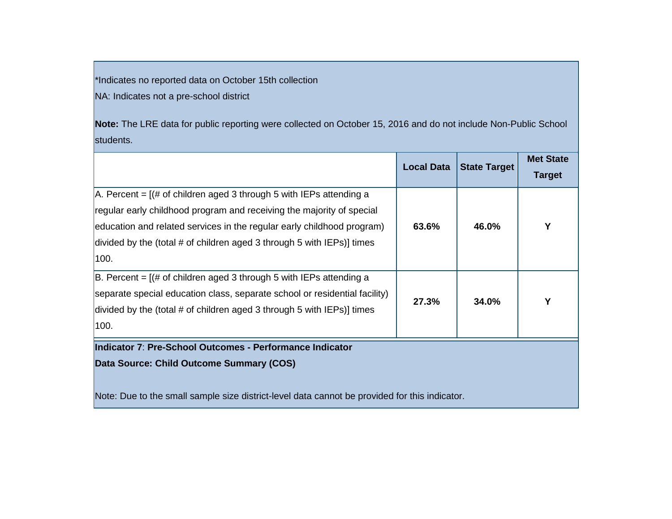\*Indicates no reported data on October 15th collection NA: Indicates not a pre-school district

**Note:** The LRE data for public reporting were collected on October 15, 2016 and do not include Non-Public School students.

|                                                                                              | <b>Local Data</b> | <b>State Target</b> | <b>Met State</b><br><b>Target</b> |
|----------------------------------------------------------------------------------------------|-------------------|---------------------|-----------------------------------|
| $A$ . Percent = $($ # of children aged 3 through 5 with IEPs attending a                     |                   |                     |                                   |
| regular early childhood program and receiving the majority of special                        |                   |                     |                                   |
| education and related services in the regular early childhood program)                       | 63.6%             | 46.0%               | Υ                                 |
| divided by the (total # of children aged 3 through 5 with IEPs)] times                       |                   |                     |                                   |
| 100.                                                                                         |                   |                     |                                   |
| $ B.$ Percent = $[(# of children aged 3 through 5 with IEPs attending a]$                    |                   |                     |                                   |
| separate special education class, separate school or residential facility)                   | 27.3%             | 34.0%               | Υ                                 |
| divided by the (total # of children aged 3 through 5 with IEPs)] times                       |                   |                     |                                   |
| 100.                                                                                         |                   |                     |                                   |
| Indicator 7: Pre-School Outcomes - Performance Indicator                                     |                   |                     |                                   |
| Data Source: Child Outcome Summary (COS)                                                     |                   |                     |                                   |
|                                                                                              |                   |                     |                                   |
| Nato: Due te the amelicanule aire district level data connect he nuovided fer this indicater |                   |                     |                                   |

Note: Due to the small sample size district-level data cannot be provided for this indicator.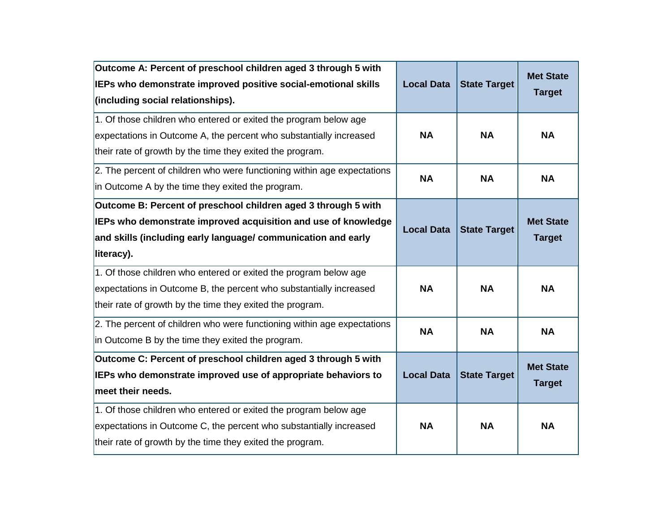| Outcome A: Percent of preschool children aged 3 through 5 with<br>IEPs who demonstrate improved positive social-emotional skills<br>(including social relationships).                                           | <b>Local Data</b> | <b>State Target</b> | <b>Met State</b><br><b>Target</b> |
|-----------------------------------------------------------------------------------------------------------------------------------------------------------------------------------------------------------------|-------------------|---------------------|-----------------------------------|
| 1. Of those children who entered or exited the program below age<br>expectations in Outcome A, the percent who substantially increased<br>their rate of growth by the time they exited the program.             | <b>NA</b>         | <b>NA</b>           | <b>NA</b>                         |
| 2. The percent of children who were functioning within age expectations<br>in Outcome A by the time they exited the program.                                                                                    | <b>NA</b>         | <b>NA</b>           | <b>NA</b>                         |
| Outcome B: Percent of preschool children aged 3 through 5 with<br>IEPs who demonstrate improved acquisition and use of knowledge<br>and skills (including early language/ communication and early<br>literacy). | <b>Local Data</b> | <b>State Target</b> | <b>Met State</b><br><b>Target</b> |
| 1. Of those children who entered or exited the program below age<br>expectations in Outcome B, the percent who substantially increased<br>their rate of growth by the time they exited the program.             | <b>NA</b>         | <b>NA</b>           | <b>NA</b>                         |
| 2. The percent of children who were functioning within age expectations<br>in Outcome B by the time they exited the program.                                                                                    | <b>NA</b>         | <b>NA</b>           | <b>NA</b>                         |
| Outcome C: Percent of preschool children aged 3 through 5 with<br>IEPs who demonstrate improved use of appropriate behaviors to<br>meet their needs.                                                            | <b>Local Data</b> | <b>State Target</b> | <b>Met State</b><br><b>Target</b> |
| 1. Of those children who entered or exited the program below age<br>expectations in Outcome C, the percent who substantially increased<br>their rate of growth by the time they exited the program.             | <b>NA</b>         | <b>NA</b>           | <b>NA</b>                         |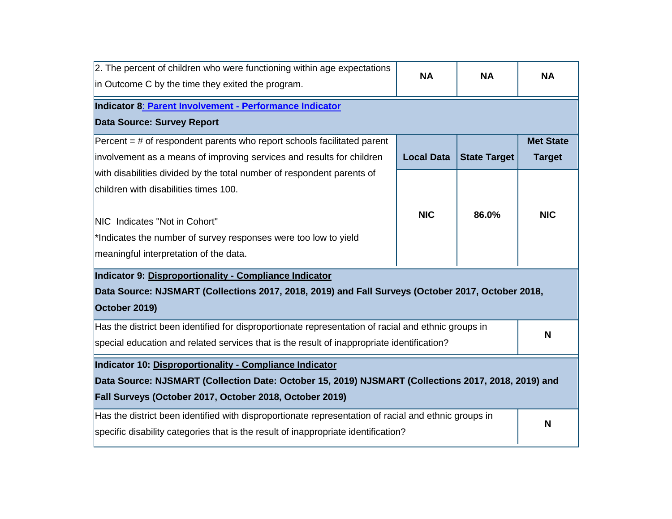| 2. The percent of children who were functioning within age expectations<br>in Outcome C by the time they exited the program.                                                                      | <b>NA</b>         | <b>NA</b>           | <b>NA</b>        |
|---------------------------------------------------------------------------------------------------------------------------------------------------------------------------------------------------|-------------------|---------------------|------------------|
| Indicator 8: Parent Involvement - Performance Indicator<br><b>Data Source: Survey Report</b>                                                                                                      |                   |                     |                  |
| Percent $=$ # of respondent parents who report schools facilitated parent                                                                                                                         |                   |                     | <b>Met State</b> |
| involvement as a means of improving services and results for children                                                                                                                             | <b>Local Data</b> | <b>State Target</b> | <b>Target</b>    |
| with disabilities divided by the total number of respondent parents of                                                                                                                            |                   |                     |                  |
| children with disabilities times 100.                                                                                                                                                             |                   |                     |                  |
| NIC Indicates "Not in Cohort"<br>*Indicates the number of survey responses were too low to yield<br>meaningful interpretation of the data.                                                        | <b>NIC</b>        | 86.0%               | <b>NIC</b>       |
| Indicator 9: Disproportionality - Compliance Indicator<br>Data Source: NJSMART (Collections 2017, 2018, 2019) and Fall Surveys (October 2017, October 2018,<br>October 2019)                      |                   |                     |                  |
| Has the district been identified for disproportionate representation of racial and ethnic groups in<br>special education and related services that is the result of inappropriate identification? |                   |                     | N                |
| Indicator 10: Disproportionality - Compliance Indicator                                                                                                                                           |                   |                     |                  |
| Data Source: NJSMART (Collection Date: October 15, 2019) NJSMART (Collections 2017, 2018, 2019) and                                                                                               |                   |                     |                  |
| Fall Surveys (October 2017, October 2018, October 2019)                                                                                                                                           |                   |                     |                  |
| Has the district been identified with disproportionate representation of racial and ethnic groups in                                                                                              |                   |                     | N                |
| specific disability categories that is the result of inappropriate identification?                                                                                                                |                   |                     |                  |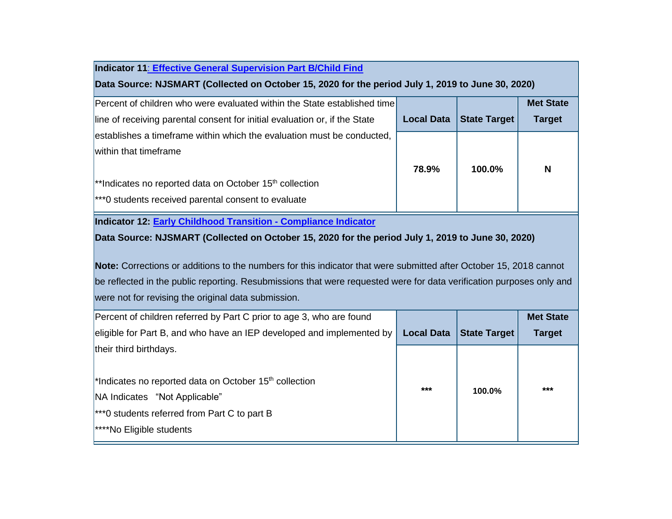# **Indicator 11**: **[Effective General Supervision Part B/Child Find](http://www.state.nj.us/education/specialed/info/spp/data/sppi1920/indicator11.htm)**

# **Data Source: NJSMART (Collected on October 15, 2020 for the period July 1, 2019 to June 30, 2020)**

| Percent of children who were evaluated within the State established time   |                   |                     | <b>Met State</b> |
|----------------------------------------------------------------------------|-------------------|---------------------|------------------|
| line of receiving parental consent for initial evaluation or, if the State | <b>Local Data</b> | <b>State Target</b> | <b>Target</b>    |
| establishes a timeframe within which the evaluation must be conducted,     |                   |                     |                  |
| within that timeframe                                                      |                   |                     |                  |
|                                                                            | 78.9%             | 100.0%              | N                |
| $*$ lndicates no reported data on October 15 <sup>th</sup> collection      |                   |                     |                  |
| $ ***$ o students received parental consent to evaluate                    |                   |                     |                  |

**Indicator 12: [Early Childhood Transition -](http://www.state.nj.us/education/specialed/info/spp/data/sppi1920/indicator12.htm) Compliance Indicator**

# **Data Source: NJSMART (Collected on October 15, 2020 for the period July 1, 2019 to June 30, 2020)**

**Note:** Corrections or additions to the numbers for this indicator that were submitted after October 15, 2018 cannot be reflected in the public reporting. Resubmissions that were requested were for data verification purposes only and were not for revising the original data submission.

| Percent of children referred by Part C prior to age 3, who are found                                                                                                                         |                   |                     | <b>Met State</b> |
|----------------------------------------------------------------------------------------------------------------------------------------------------------------------------------------------|-------------------|---------------------|------------------|
| eligible for Part B, and who have an IEP developed and implemented by                                                                                                                        | <b>Local Data</b> | <b>State Target</b> | <b>Target</b>    |
| their third birthdays.                                                                                                                                                                       |                   |                     |                  |
| <sup>*</sup> Indicates no reported data on October $15th$ collection<br>NA Indicates "Not Applicable"<br>$ ***$ o students referred from Part C to part B<br><b>****No Eligible students</b> | ***               | 100.0%              | ***              |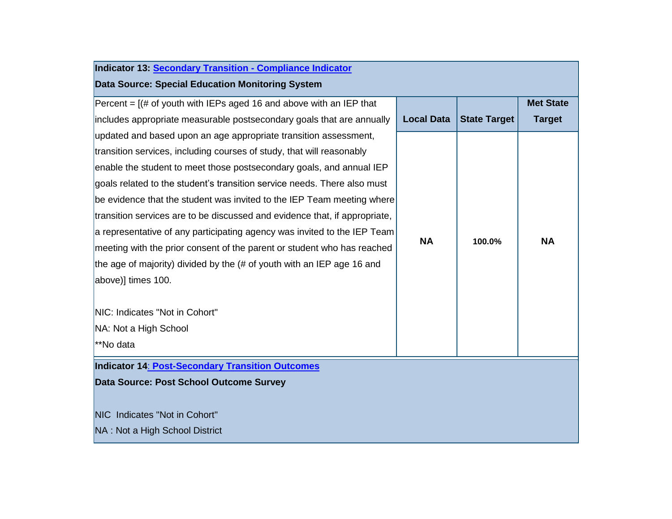| Indicator 13: Secondary Transition - Compliance Indicator                  |                   |                     |                  |
|----------------------------------------------------------------------------|-------------------|---------------------|------------------|
| Data Source: Special Education Monitoring System                           |                   |                     |                  |
| Percent = $[(# of youth with IEPs aged 16 and above with an IEP that$      |                   |                     | <b>Met State</b> |
| includes appropriate measurable postsecondary goals that are annually      | <b>Local Data</b> | <b>State Target</b> | <b>Target</b>    |
| updated and based upon an age appropriate transition assessment,           |                   |                     |                  |
| transition services, including courses of study, that will reasonably      |                   |                     |                  |
| enable the student to meet those postsecondary goals, and annual IEP       |                   |                     |                  |
| goals related to the student's transition service needs. There also must   |                   |                     |                  |
| be evidence that the student was invited to the IEP Team meeting where     |                   |                     |                  |
| transition services are to be discussed and evidence that, if appropriate, |                   |                     |                  |
| a representative of any participating agency was invited to the IEP Team   |                   |                     |                  |
| meeting with the prior consent of the parent or student who has reached    | <b>NA</b>         | 100.0%              | <b>NA</b>        |
| the age of majority) divided by the (# of youth with an IEP age 16 and     |                   |                     |                  |
| above)] times 100.                                                         |                   |                     |                  |
|                                                                            |                   |                     |                  |
| NIC: Indicates "Not in Cohort"                                             |                   |                     |                  |
| NA: Not a High School                                                      |                   |                     |                  |
| <sup>**</sup> No data                                                      |                   |                     |                  |
| Indicator 14: Post-Secondary Transition Outcomes                           |                   |                     |                  |
| Data Source: Post School Outcome Survey                                    |                   |                     |                  |
|                                                                            |                   |                     |                  |
| NIC Indicates "Not in Cohort"                                              |                   |                     |                  |
| NA: Not a High School District                                             |                   |                     |                  |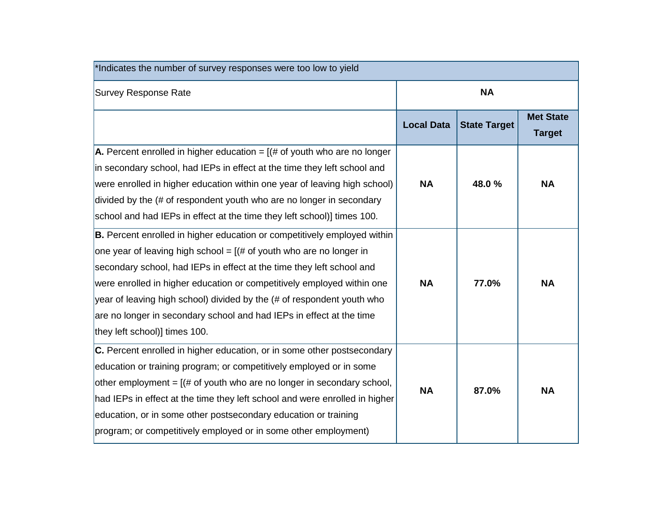| *Indicates the number of survey responses were too low to yield             |                   |                     |                                   |
|-----------------------------------------------------------------------------|-------------------|---------------------|-----------------------------------|
| <b>Survey Response Rate</b>                                                 |                   | <b>NA</b>           |                                   |
|                                                                             | <b>Local Data</b> | <b>State Target</b> | <b>Met State</b><br><b>Target</b> |
| A. Percent enrolled in higher education = $($ # of youth who are no longer  |                   |                     |                                   |
| in secondary school, had IEPs in effect at the time they left school and    |                   |                     |                                   |
| were enrolled in higher education within one year of leaving high school)   | <b>NA</b>         | 48.0%               | <b>NA</b>                         |
| divided by the (# of respondent youth who are no longer in secondary        |                   |                     |                                   |
| school and had IEPs in effect at the time they left school)] times 100.     |                   |                     |                                   |
| B. Percent enrolled in higher education or competitively employed within    |                   |                     |                                   |
| one year of leaving high school = $[(# of youth who are no longer in$       |                   |                     |                                   |
| secondary school, had IEPs in effect at the time they left school and       |                   |                     |                                   |
| were enrolled in higher education or competitively employed within one      | <b>NA</b>         | 77.0%               | <b>NA</b>                         |
| year of leaving high school) divided by the (# of respondent youth who      |                   |                     |                                   |
| are no longer in secondary school and had IEPs in effect at the time        |                   |                     |                                   |
| they left school)] times 100.                                               |                   |                     |                                   |
| C. Percent enrolled in higher education, or in some other postsecondary     |                   |                     |                                   |
| education or training program; or competitively employed or in some         |                   |                     |                                   |
| other employment = $[(# of youth who are no longer in secondary school,$    | <b>NA</b>         | 87.0%               | <b>NA</b>                         |
| had IEPs in effect at the time they left school and were enrolled in higher |                   |                     |                                   |
| education, or in some other postsecondary education or training             |                   |                     |                                   |
| program; or competitively employed or in some other employment)             |                   |                     |                                   |